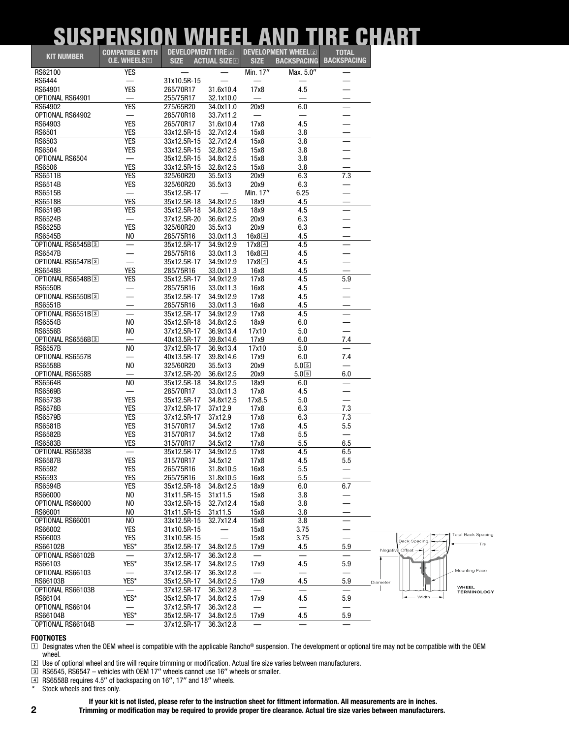## *SUSPENSION WHEEL AND TIRE CHART*

|                   | <b>COMPATIBLE WITH</b>   | <b>DEVELOPMENT TIRE<sup>[2]</sup></b> |                     |                       | <b>DEVELOPMENT WHEEL<sup>[2]</sup></b> | <b>TOTAL</b>             |  |
|-------------------|--------------------------|---------------------------------------|---------------------|-----------------------|----------------------------------------|--------------------------|--|
| <b>KIT NUMBER</b> | $0.E.$ wheels $\square$  | <b>SIZE</b>                           | <b>ACTUAL SIZED</b> | <b>SIZE</b>           | <b>BACKSPACING</b>                     | <b>BACKSPACING</b>       |  |
|                   |                          |                                       |                     |                       |                                        |                          |  |
| RS62100           | <b>YES</b>               |                                       |                     | Min. 17"              | Max. 5.0"                              |                          |  |
| RS6444            | —                        | 31x10.5R-15                           |                     |                       |                                        |                          |  |
| RS64901           | <b>YES</b>               | 265/70R17                             | 31.6x10.4           | 17x8                  | 4.5                                    |                          |  |
| OPTIONAL RS64901  |                          | 255/75R17                             | 32.1x10.0           |                       |                                        |                          |  |
| RS64902           | <b>YES</b>               | 275/65R20                             | 34.0x11.0           | 20x9                  | 6.0                                    | $\overline{\phantom{0}}$ |  |
| OPTIONAL RS64902  | —                        | 285/70R18                             | 33.7x11.2           |                       | —                                      |                          |  |
| RS64903           | <b>YES</b>               | 265/70R17                             | 31.6x10.4           | 17x8                  | 4.5                                    |                          |  |
| RS6501            | <b>YES</b>               | 33x12.5R-15                           | 32.7x12.4           | 15x8                  | 3.8                                    | $\sim$                   |  |
| RS6503            | <b>YES</b>               | 33x12.5R-15                           | 32.7x12.4           | 15x8                  | 3.8                                    | $\equiv$                 |  |
|                   |                          |                                       |                     |                       |                                        |                          |  |
| <b>RS6504</b>     | <b>YES</b>               | 33x12.5R-15                           | 32.8x12.5           | 15x8                  | 3.8                                    |                          |  |
| OPTIONAL RS6504   | $\overline{\phantom{0}}$ | 35x12.5R-15                           | 34.8x12.5           | 15x8                  | 3.8                                    |                          |  |
| <b>RS6506</b>     | <b>YES</b>               | 33x12.5R-15                           | 32.8x12.5           | 15x8                  | 3.8                                    | —                        |  |
| <b>RS6511B</b>    | <b>YES</b>               | 325/60R20                             | 35.5x13             | 20x9                  | 6.3                                    | 7.3                      |  |
| RS6514B           | <b>YES</b>               | 325/60R20                             | 35.5x13             | 20x9                  | 6.3                                    |                          |  |
| <b>RS6515B</b>    |                          | 35x12.5R-17                           |                     | Min. 17"              | 6.25                                   |                          |  |
| RS6518B           | <b>YES</b>               | 35x12.5R-18                           | 34.8x12.5           | 18x9                  | 4.5                                    |                          |  |
| <b>RS6519B</b>    | <b>YES</b>               | 35x12.5R-18                           | 34.8x12.5           | 18x9                  | 4.5                                    |                          |  |
|                   |                          |                                       |                     |                       |                                        |                          |  |
| <b>RS6524B</b>    | $\overline{\phantom{m}}$ | 37x12.5R-20                           | 36.6x12.5           | 20x9                  | 6.3                                    |                          |  |
| <b>RS6525B</b>    | <b>YES</b>               | 325/60R20                             | 35.5x13             | 20x9                  | 6.3                                    |                          |  |
| <b>RS6545B</b>    | NO                       | 285/75R16                             | 33.0x11.3           | $16x8$ <sup>[4]</sup> | 4.5                                    |                          |  |
| OPTIONAL RS6545B3 | —                        | 35x12.5R-17                           | 34.9x12.9           | $17x8$ <sup>[4]</sup> | 4.5                                    |                          |  |
| <b>RS6547B</b>    | —                        | 285/75R16                             | 33.0x11.3           | 16x8[4]               | 4.5                                    |                          |  |
| OPTIONAL RS6547B3 | $\overline{\phantom{0}}$ | 35x12.5R-17                           | 34.9x12.9           | $17x8$ <sup>4</sup>   | 4.5                                    |                          |  |
| <b>RS6548B</b>    | <b>YES</b>               | 285/75R16                             | 33.0x11.3           | 16x8                  | 4.5                                    |                          |  |
| OPTIONAL RS6548B3 | <b>YES</b>               | 35x12.5R-17                           | 34.9x12.9           | 17x8                  | 4.5                                    | 5.9                      |  |
|                   |                          |                                       |                     |                       |                                        |                          |  |
| <b>RS6550B</b>    | —                        | 285/75R16                             | 33.0x11.3           | 16x8                  | 4.5                                    |                          |  |
| OPTIONAL RS6550B3 | —                        | 35x12.5R-17                           | 34.9x12.9           | 17x8                  | 4.5                                    |                          |  |
| <b>RS6551B</b>    |                          | 285/75R16                             | 33.0x11.3           | 16x8                  | 4.5                                    |                          |  |
| OPTIONAL RS6551B3 |                          | 35x12.5R-17                           | 34.9x12.9           | 17x8                  | 4.5                                    | $\overline{\phantom{0}}$ |  |
| <b>RS6554B</b>    | N <sub>0</sub>           | 35x12.5R-18                           | 34.8x12.5           | 18x9                  | 6.0                                    |                          |  |
| <b>RS6556B</b>    | N <sub>0</sub>           | 37x12.5R-17                           | 36.9x13.4           | 17x10                 | 5.0                                    |                          |  |
| OPTIONAL RS6556B3 | —                        | 40x13.5R-17                           | 39.8x14.6           | 17x9                  | 6.0                                    | 7.4                      |  |
| <b>RS6557B</b>    | N <sub>0</sub>           | 37x12.5R-17                           |                     | 17x10                 | 5.0                                    |                          |  |
|                   |                          |                                       | 36.9x13.4           |                       |                                        |                          |  |
| OPTIONAL RS6557B  | $\overline{\phantom{0}}$ | 40x13.5R-17                           | 39.8x14.6           | 17x9                  | 6.0                                    | 7.4                      |  |
| <b>RS6558B</b>    | N <sub>0</sub>           | 325/60R20                             | 35.5x13             | 20x9                  | 5.0[5]                                 |                          |  |
| OPTIONAL RS6558B  | $\overline{\phantom{0}}$ | 37x12.5R-20                           | 36.6x12.5           | 20x9                  | 5.0[5]                                 | 6.0                      |  |
| <b>RS6564B</b>    | N <sub>0</sub>           | 35x12.5R-18                           | 34.8x12.5           | 18x9                  | 6.0                                    | $\overline{\phantom{m}}$ |  |
| <b>RS6569B</b>    | $\overline{\phantom{0}}$ | 285/70R17                             | 33.0x11.3           | 17x8                  | 4.5                                    |                          |  |
| <b>RS6573B</b>    | <b>YES</b>               | 35x12.5R-17                           | 34.8x12.5           | 17x8.5                | 5.0                                    |                          |  |
| <b>RS6578B</b>    | <b>YES</b>               | 37x12.5R-17                           | 37x12.9             | 17x8                  | 6.3                                    | 7.3                      |  |
|                   |                          |                                       |                     |                       |                                        |                          |  |
| <b>RS6579B</b>    | <b>YES</b>               | 37x12.5R-17                           | 37x12.9             | 17x8                  | 6.3                                    | 7.3                      |  |
| <b>RS6581B</b>    | <b>YES</b>               | 315/70R17                             | 34.5x12             | 17x8                  | 4.5                                    | 5.5                      |  |
| <b>RS6582B</b>    | <b>YES</b>               | 315/70R17                             | 34.5x12             | 17x8                  | 5.5                                    |                          |  |
| <b>RS6583B</b>    | <b>YES</b>               | 315/70R17                             | 34.5x12             | 17x8                  | 5.5                                    | 6.5                      |  |
| OPTIONAL RS6583B  |                          | 35x12.5R-17                           | 34.9x12.5           | 17x8                  | 4.5                                    | 6.5                      |  |
| <b>RS6587B</b>    | YES                      | 315/70R17                             | 34.5x12             | 17x8                  | 4.5                                    | 5.5                      |  |
| RS6592            | <b>YES</b>               | 265/75R16                             | 31.8x10.5           | 16x8                  | 5.5                                    |                          |  |
|                   |                          |                                       |                     |                       |                                        |                          |  |
| RS6593            | <b>YES</b>               | 265/75R16                             | 31.8x10.5           | 16x8                  | 5.5                                    |                          |  |
| <b>RS6594B</b>    | YES                      | 35x12.5R-18                           | 34.8x12.5           | 18x9                  | 6.0                                    | 6.7                      |  |
| RS66000           | N <sub>0</sub>           | 31x11.5R-15                           | 31x11.5             | 15x8                  | 3.8                                    |                          |  |
| OPTIONAL RS66000  | N <sub>0</sub>           | 33x12.5R-15                           | 32.7x12.4           | 15x8                  | 3.8                                    |                          |  |
| RS66001           | NO                       | 31x11.5R-15                           | 31x11.5             | 15x8                  | 3.8                                    |                          |  |
| OPTIONAL RS66001  | N <sub>0</sub>           | 33x12.5R-15                           | 32.7x12.4           | 15x8                  | 3.8                                    |                          |  |
| RS66002           | <b>YES</b>               | 31x10.5R-15                           |                     | 15x8                  | 3.75                                   |                          |  |
|                   |                          |                                       |                     |                       |                                        |                          |  |
| RS66003           | YES                      | 31x10.5R-15                           |                     | 15x8                  | 3.75                                   |                          |  |
| RS66102B          | YES*                     | 35x12.5R-17                           | 34.8x12.5           | 17x9                  | 4.5                                    | 5.9                      |  |
| OPTIONAL RS66102B |                          | 37x12.5R-17                           | 36.3x12.8           |                       | $\overline{\phantom{0}}$               |                          |  |
| RS66103           | YES*                     | 35x12.5R-17                           | 34.8x12.5           | 17x9                  | 4.5                                    | 5.9                      |  |
| OPTIONAL RS66103  |                          | 37x12.5R-17                           | 36.3x12.8           |                       | $\overline{\phantom{0}}$               |                          |  |
| RS66103B          | YES*                     | 35x12.5R-17                           | 34.8x12.5           | 17x9                  | 4.5                                    | 5.9                      |  |
| OPTIONAL RS66103B |                          | 37x12.5R-17                           | 36.3x12.8           |                       | $\overline{\phantom{0}}$               |                          |  |
|                   |                          |                                       |                     |                       |                                        |                          |  |
| RS66104           | YES*                     | 35x12.5R-17                           | 34.8x12.5           | 17x9                  | 4.5                                    | 5.9                      |  |
| OPTIONAL RS66104  |                          | 37x12.5R-17                           | 36.3x12.8           |                       |                                        |                          |  |
| RS66104B          | YES*                     | 35x12.5R-17                           | 34.8x12.5           | 17x9                  | 4.5                                    | 5.9                      |  |
| OPTIONAL RS66104B |                          | 37x12.5R-17                           | 36.3x12.8           |                       |                                        |                          |  |



 $\square$  Designates when the OEM wheel is compatible with the applicable Rancho® suspension. The development or optional tire may not be compatible with the OEM wheel.

[\º\] Use of optional wheel and tire will require trimming or modification. Actual tire size varies between manufacturers.

 $\overline{3}$  RS6545, RS6547 – vehicles with OEM 17" wheels cannot use 16" wheels or smaller.

 $\boxed{4}$  RS6558B requires 4.5<sup>7</sup> of backspacing on 16<sup>*n*</sup>, 17<sup>*n*</sup> and 18<sup>*n*</sup> wheels.

Stock wheels and tires only.

## **If your kit is not listed, please refer to the instruction sheet for fittment information. All measurements are in inches.**

**2 Trimming or modification may be required to provide proper tire clearance. Actual tire size varies between manufacturers.**